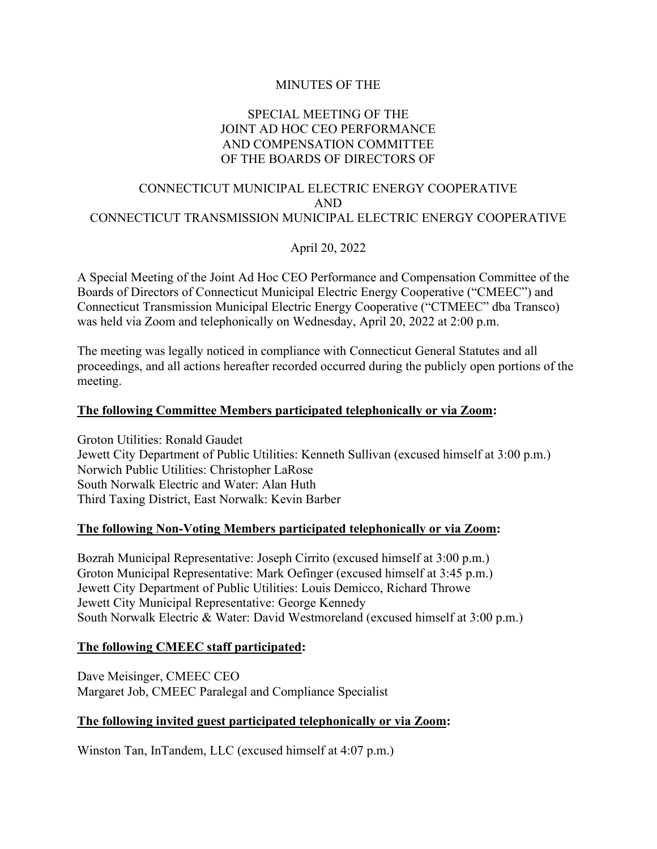## MINUTES OF THE

## SPECIAL MEETING OF THE JOINT AD HOC CEO PERFORMANCE AND COMPENSATION COMMITTEE OF THE BOARDS OF DIRECTORS OF

## CONNECTICUT MUNICIPAL ELECTRIC ENERGY COOPERATIVE AND CONNECTICUT TRANSMISSION MUNICIPAL ELECTRIC ENERGY COOPERATIVE

April 20, 2022

A Special Meeting of the Joint Ad Hoc CEO Performance and Compensation Committee of the Boards of Directors of Connecticut Municipal Electric Energy Cooperative ("CMEEC") and Connecticut Transmission Municipal Electric Energy Cooperative ("CTMEEC" dba Transco) was held via Zoom and telephonically on Wednesday, April 20, 2022 at 2:00 p.m.

The meeting was legally noticed in compliance with Connecticut General Statutes and all proceedings, and all actions hereafter recorded occurred during the publicly open portions of the meeting.

### **The following Committee Members participated telephonically or via Zoom:**

Groton Utilities: Ronald Gaudet Jewett City Department of Public Utilities: Kenneth Sullivan (excused himself at 3:00 p.m.) Norwich Public Utilities: Christopher LaRose South Norwalk Electric and Water: Alan Huth Third Taxing District, East Norwalk: Kevin Barber

### **The following Non-Voting Members participated telephonically or via Zoom:**

Bozrah Municipal Representative: Joseph Cirrito (excused himself at 3:00 p.m.) Groton Municipal Representative: Mark Oefinger (excused himself at 3:45 p.m.) Jewett City Department of Public Utilities: Louis Demicco, Richard Throwe Jewett City Municipal Representative: George Kennedy South Norwalk Electric & Water: David Westmoreland (excused himself at 3:00 p.m.)

#### **The following CMEEC staff participated:**

Dave Meisinger, CMEEC CEO Margaret Job, CMEEC Paralegal and Compliance Specialist

#### **The following invited guest participated telephonically or via Zoom:**

Winston Tan, InTandem, LLC (excused himself at 4:07 p.m.)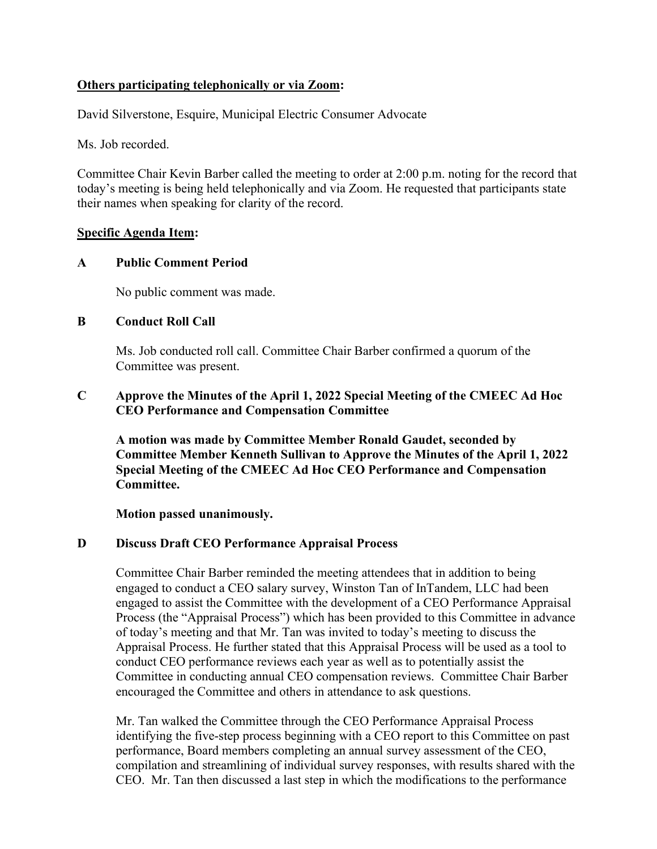# **Others participating telephonically or via Zoom:**

David Silverstone, Esquire, Municipal Electric Consumer Advocate

Ms. Job recorded.

Committee Chair Kevin Barber called the meeting to order at 2:00 p.m. noting for the record that today's meeting is being held telephonically and via Zoom. He requested that participants state their names when speaking for clarity of the record.

### **Specific Agenda Item:**

#### **A Public Comment Period**

No public comment was made.

#### **B Conduct Roll Call**

Ms. Job conducted roll call. Committee Chair Barber confirmed a quorum of the Committee was present.

## **C Approve the Minutes of the April 1, 2022 Special Meeting of the CMEEC Ad Hoc CEO Performance and Compensation Committee**

**A motion was made by Committee Member Ronald Gaudet, seconded by Committee Member Kenneth Sullivan to Approve the Minutes of the April 1, 2022 Special Meeting of the CMEEC Ad Hoc CEO Performance and Compensation Committee.**

**Motion passed unanimously.**

### **D Discuss Draft CEO Performance Appraisal Process**

Committee Chair Barber reminded the meeting attendees that in addition to being engaged to conduct a CEO salary survey, Winston Tan of InTandem, LLC had been engaged to assist the Committee with the development of a CEO Performance Appraisal Process (the "Appraisal Process") which has been provided to this Committee in advance of today's meeting and that Mr. Tan was invited to today's meeting to discuss the Appraisal Process. He further stated that this Appraisal Process will be used as a tool to conduct CEO performance reviews each year as well as to potentially assist the Committee in conducting annual CEO compensation reviews. Committee Chair Barber encouraged the Committee and others in attendance to ask questions.

Mr. Tan walked the Committee through the CEO Performance Appraisal Process identifying the five-step process beginning with a CEO report to this Committee on past performance, Board members completing an annual survey assessment of the CEO, compilation and streamlining of individual survey responses, with results shared with the CEO. Mr. Tan then discussed a last step in which the modifications to the performance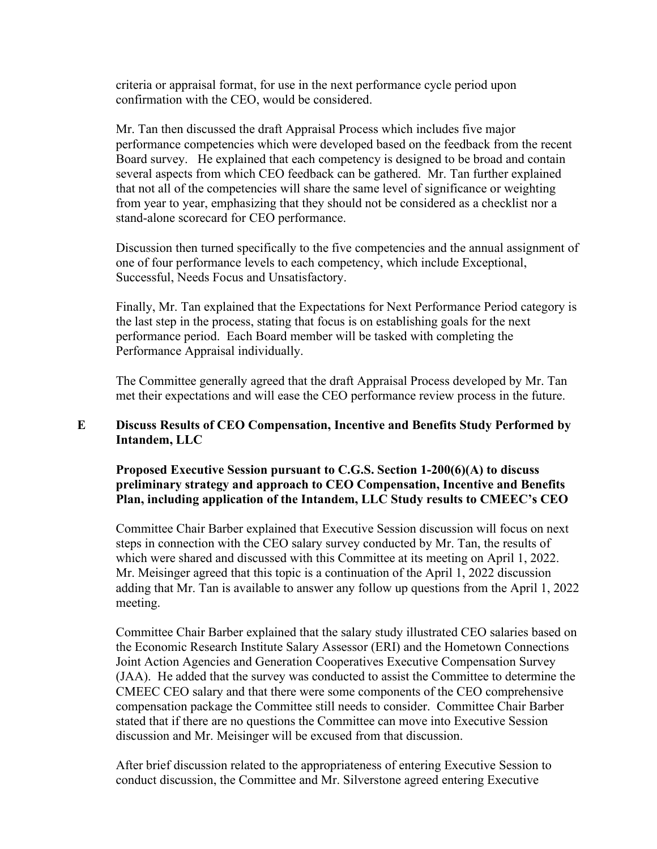criteria or appraisal format, for use in the next performance cycle period upon confirmation with the CEO, would be considered.

Mr. Tan then discussed the draft Appraisal Process which includes five major performance competencies which were developed based on the feedback from the recent Board survey. He explained that each competency is designed to be broad and contain several aspects from which CEO feedback can be gathered. Mr. Tan further explained that not all of the competencies will share the same level of significance or weighting from year to year, emphasizing that they should not be considered as a checklist nor a stand-alone scorecard for CEO performance.

Discussion then turned specifically to the five competencies and the annual assignment of one of four performance levels to each competency, which include Exceptional, Successful, Needs Focus and Unsatisfactory.

Finally, Mr. Tan explained that the Expectations for Next Performance Period category is the last step in the process, stating that focus is on establishing goals for the next performance period. Each Board member will be tasked with completing the Performance Appraisal individually.

The Committee generally agreed that the draft Appraisal Process developed by Mr. Tan met their expectations and will ease the CEO performance review process in the future.

## **E Discuss Results of CEO Compensation, Incentive and Benefits Study Performed by Intandem, LLC**

**Proposed Executive Session pursuant to C.G.S. Section 1-200(6)(A) to discuss preliminary strategy and approach to CEO Compensation, Incentive and Benefits Plan, including application of the Intandem, LLC Study results to CMEEC's CEO**

Committee Chair Barber explained that Executive Session discussion will focus on next steps in connection with the CEO salary survey conducted by Mr. Tan, the results of which were shared and discussed with this Committee at its meeting on April 1, 2022. Mr. Meisinger agreed that this topic is a continuation of the April 1, 2022 discussion adding that Mr. Tan is available to answer any follow up questions from the April 1, 2022 meeting.

Committee Chair Barber explained that the salary study illustrated CEO salaries based on the Economic Research Institute Salary Assessor (ERI) and the Hometown Connections Joint Action Agencies and Generation Cooperatives Executive Compensation Survey (JAA). He added that the survey was conducted to assist the Committee to determine the CMEEC CEO salary and that there were some components of the CEO comprehensive compensation package the Committee still needs to consider. Committee Chair Barber stated that if there are no questions the Committee can move into Executive Session discussion and Mr. Meisinger will be excused from that discussion.

After brief discussion related to the appropriateness of entering Executive Session to conduct discussion, the Committee and Mr. Silverstone agreed entering Executive